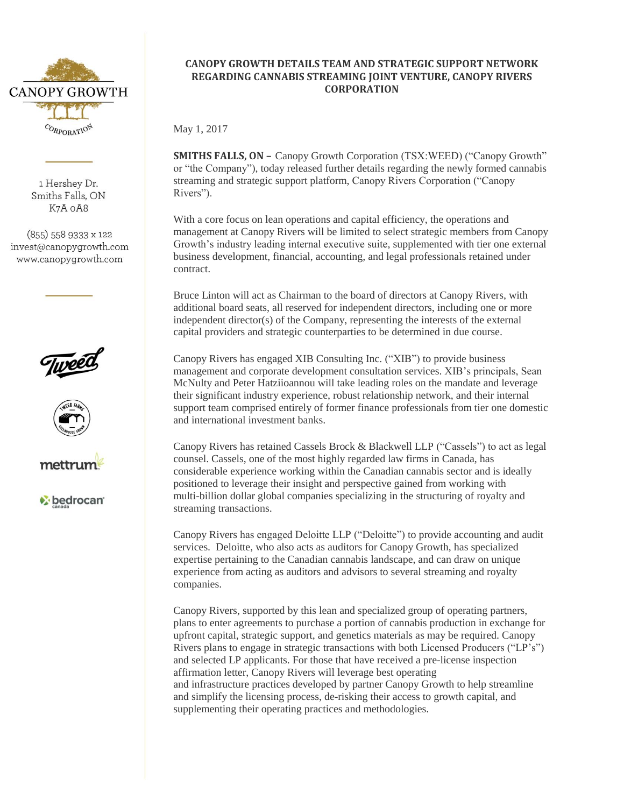

1 Hershev Dr. Smiths Falls, ON K7A oA8

 $(855)$  558 9333 x 122 invest@canopygrowth.com www.canopygrowth.com







**bedrocan** 

# **CANOPY GROWTH DETAILS TEAM AND STRATEGIC SUPPORT NETWORK REGARDING CANNABIS STREAMING JOINT VENTURE, CANOPY RIVERS CORPORATION**

May 1, 2017

**SMITHS FALLS, ON –** Canopy Growth Corporation (TSX:WEED) ("Canopy Growth" or "the Company"), today released further details regarding the newly formed cannabis streaming and strategic support platform, Canopy Rivers Corporation ("Canopy Rivers").

With a core focus on lean operations and capital efficiency, the operations and management at Canopy Rivers will be limited to select strategic members from Canopy Growth's industry leading internal executive suite, supplemented with tier one external business development, financial, accounting, and legal professionals retained under contract.

Bruce Linton will act as Chairman to the board of directors at Canopy Rivers, with additional board seats, all reserved for independent directors, including one or more independent director(s) of the Company, representing the interests of the external capital providers and strategic counterparties to be determined in due course.

Canopy Rivers has engaged XIB Consulting Inc. ("XIB") to provide business management and corporate development consultation services. XIB's principals, Sean McNulty and Peter Hatziioannou will take leading roles on the mandate and leverage their significant industry experience, robust relationship network, and their internal support team comprised entirely of former finance professionals from tier one domestic and international investment banks.

Canopy Rivers has retained Cassels Brock & Blackwell LLP ("Cassels") to act as legal counsel. Cassels, one of the most highly regarded law firms in Canada, has considerable experience working within the Canadian cannabis sector and is ideally positioned to leverage their insight and perspective gained from working with multi-billion dollar global companies specializing in the structuring of royalty and streaming transactions.

Canopy Rivers has engaged Deloitte LLP ("Deloitte") to provide accounting and audit services. Deloitte, who also acts as auditors for Canopy Growth, has specialized expertise pertaining to the Canadian cannabis landscape, and can draw on unique experience from acting as auditors and advisors to several streaming and royalty companies.

Canopy Rivers, supported by this lean and specialized group of operating partners, plans to enter agreements to purchase a portion of cannabis production in exchange for upfront capital, strategic support, and genetics materials as may be required. Canopy Rivers plans to engage in strategic transactions with both Licensed Producers ("LP's") and selected LP applicants. For those that have received a pre-license inspection affirmation letter, Canopy Rivers will leverage best operating and infrastructure practices developed by partner Canopy Growth to help streamline and simplify the licensing process, de-risking their access to growth capital, and supplementing their operating practices and methodologies.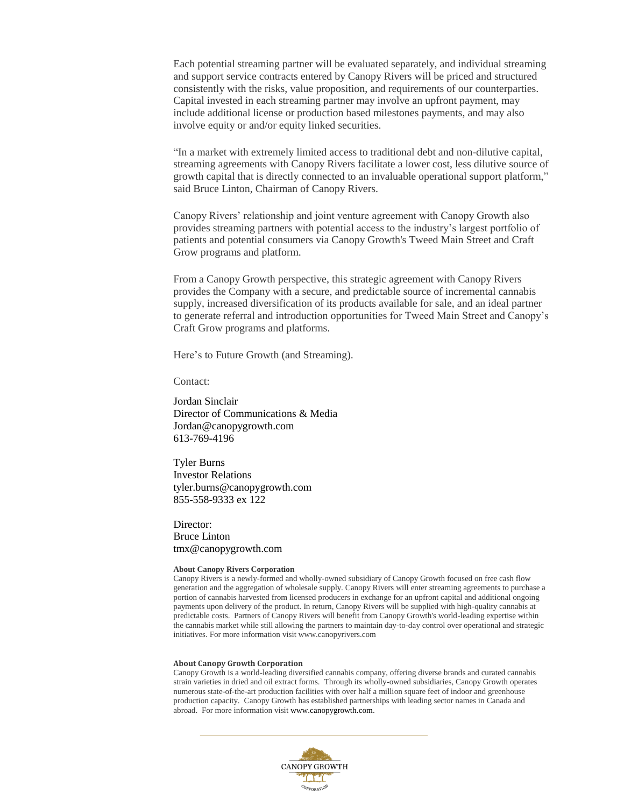Each potential streaming partner will be evaluated separately, and individual streaming and support service contracts entered by Canopy Rivers will be priced and structured consistently with the risks, value proposition, and requirements of our counterparties. Capital invested in each streaming partner may involve an upfront payment, may include additional license or production based milestones payments, and may also involve equity or and/or equity linked securities.

"In a market with extremely limited access to traditional debt and non-dilutive capital, streaming agreements with Canopy Rivers facilitate a lower cost, less dilutive source of growth capital that is directly connected to an invaluable operational support platform," said Bruce Linton, Chairman of Canopy Rivers.

Canopy Rivers' relationship and joint venture agreement with Canopy Growth also provides streaming partners with potential access to the industry's largest portfolio of patients and potential consumers via Canopy Growth's Tweed Main Street and Craft Grow programs and platform.

From a Canopy Growth perspective, this strategic agreement with Canopy Rivers provides the Company with a secure, and predictable source of incremental cannabis supply, increased diversification of its products available for sale, and an ideal partner to generate referral and introduction opportunities for Tweed Main Street and Canopy's Craft Grow programs and platforms.

Here's to Future Growth (and Streaming).

Contact:

Jordan Sinclair Director of Communications & Media Jordan@canopygrowth.com 613-769-4196

Tyler Burns Investor Relations tyler.burns@canopygrowth.com 855-558-9333 ex 122

Director: Bruce Linton tmx@canopygrowth.com

#### **About Canopy Rivers Corporation**

Canopy Rivers is a newly-formed and wholly-owned subsidiary of Canopy Growth focused on free cash flow generation and the aggregation of wholesale supply. Canopy Rivers will enter streaming agreements to purchase a portion of cannabis harvested from licensed producers in exchange for an upfront capital and additional ongoing payments upon delivery of the product. In return, Canopy Rivers will be supplied with high-quality cannabis at predictable costs. Partners of Canopy Rivers will benefit from Canopy Growth's world-leading expertise within the cannabis market while still allowing the partners to maintain day-to-day control over operational and strategic initiatives. For more information visit www.canopyrivers.com

#### **About Canopy Growth Corporation**

Canopy Growth is a world-leading diversified cannabis company, offering diverse brands and curated cannabis strain varieties in dried and oil extract forms. Through its wholly-owned subsidiaries, Canopy Growth operates numerous state-of-the-art production facilities with over half a million square feet of indoor and greenhouse production capacity. Canopy Growth has established partnerships with leading sector names in Canada and abroad. For more information visit www.canopygrowth.com.